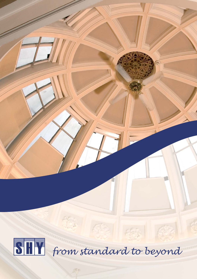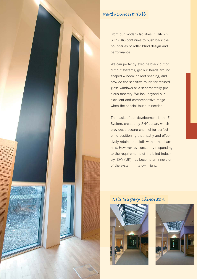

## *Perth Concert Hall*

From our modern facilities in Hitchin, SHY (UK) continues to push back the boundaries of roller blind design and performance.

We can perfectly execute black-out or dimout systems, get our heads around shaped window or roof shading, and provide the sensitive touch for stainedglass windows or a sentimentally precious tapestry. We look beyond our excellent and comprehensive range when the special touch is needed.

The basis of our development is the Zip System, created by SHY Japan, which provides a secure channel for perfect blind positioning that neatly and effectively retains the cloth within the channels. However, by constantly responding to the requirements of the blind industry, SHY (UK) has become an innovator of the system in its own right.

## *NHS Surgery Edmonton*



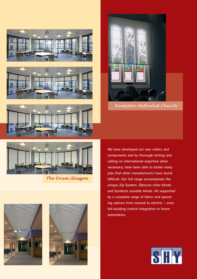







*Kempston Methodist Church*



*The Drum Glasgow* 





We have developed our own rollers and components and by thorough testing and calling on international expertise when necessary, have been able to tackle many jobs that other manufacturers have found difficult. Our full range encompasses the unique Zip System, Obscura roller blinds and Sunfacta cassette blinds. All supported by a complete range of fabric and operating options from manual to electric – even full building control integration or home automation.